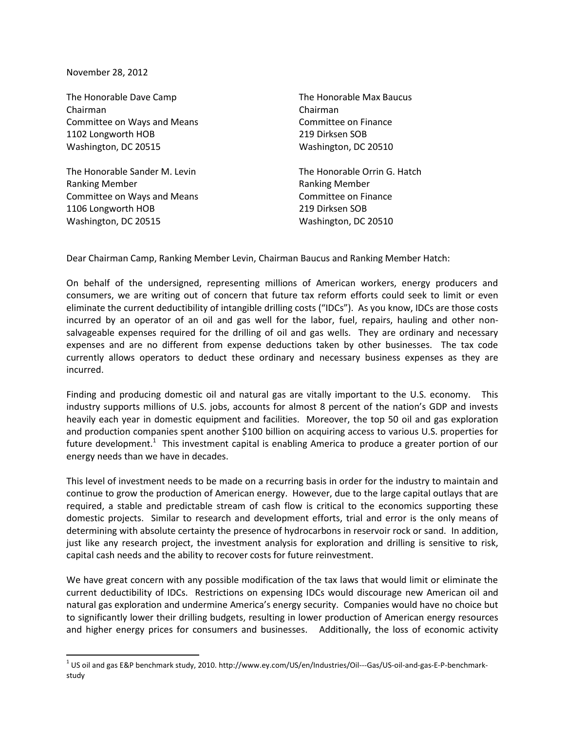November 28, 2012

 $\overline{\phantom{a}}$ 

The Honorable Dave Camp The Honorable Max Baucus Chairman Chairman Committee on Ways and Means Committee on Finance 1102 Longworth HOB 219 Dirksen SOB Washington, DC 20515 Washington, DC 20510

The Honorable Sander M. Levin The Honorable Orrin G. Hatch Ranking Member Ranking Member Committee on Ways and Means Committee on Finance 1106 Longworth HOB 219 Dirksen SOB Washington, DC 20515 Washington, DC 20510

Dear Chairman Camp, Ranking Member Levin, Chairman Baucus and Ranking Member Hatch:

On behalf of the undersigned, representing millions of American workers, energy producers and consumers, we are writing out of concern that future tax reform efforts could seek to limit or even eliminate the current deductibility of intangible drilling costs ("IDCs"). As you know, IDCs are those costs incurred by an operator of an oil and gas well for the labor, fuel, repairs, hauling and other nonsalvageable expenses required for the drilling of oil and gas wells. They are ordinary and necessary expenses and are no different from expense deductions taken by other businesses. The tax code currently allows operators to deduct these ordinary and necessary business expenses as they are incurred.

Finding and producing domestic oil and natural gas are vitally important to the U.S. economy. This industry supports millions of U.S. jobs, accounts for almost 8 percent of the nation's GDP and invests heavily each year in domestic equipment and facilities. Moreover, the top 50 oil and gas exploration and production companies spent another \$100 billion on acquiring access to various U.S. properties for future development.<sup>1</sup> This investment capital is enabling America to produce a greater portion of our energy needs than we have in decades.

This level of investment needs to be made on a recurring basis in order for the industry to maintain and continue to grow the production of American energy. However, due to the large capital outlays that are required, a stable and predictable stream of cash flow is critical to the economics supporting these domestic projects. Similar to research and development efforts, trial and error is the only means of determining with absolute certainty the presence of hydrocarbons in reservoir rock or sand. In addition, just like any research project, the investment analysis for exploration and drilling is sensitive to risk, capital cash needs and the ability to recover costs for future reinvestment.

We have great concern with any possible modification of the tax laws that would limit or eliminate the current deductibility of IDCs. Restrictions on expensing IDCs would discourage new American oil and natural gas exploration and undermine America's energy security. Companies would have no choice but to significantly lower their drilling budgets, resulting in lower production of American energy resources and higher energy prices for consumers and businesses. Additionally, the loss of economic activity

 $^{\rm 1}$  US oil and gas E&P benchmark study, 2010. http://www.ey.com/US/en/Industries/Oil---Gas/US-oil-and-gas-E-P-benchmarkstudy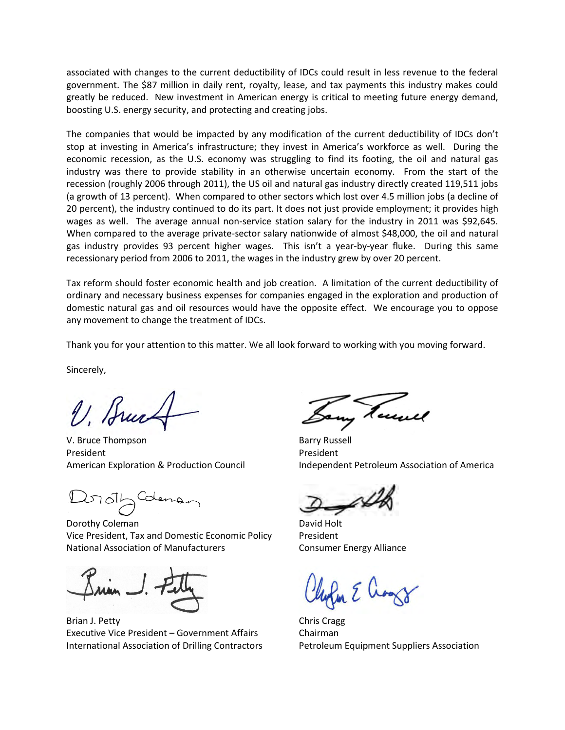associated with changes to the current deductibility of IDCs could result in less revenue to the federal government. The \$87 million in daily rent, royalty, lease, and tax payments this industry makes could greatly be reduced. New investment in American energy is critical to meeting future energy demand, boosting U.S. energy security, and protecting and creating jobs.

The companies that would be impacted by any modification of the current deductibility of IDCs don't stop at investing in America's infrastructure; they invest in America's workforce as well. During the economic recession, as the U.S. economy was struggling to find its footing, the oil and natural gas industry was there to provide stability in an otherwise uncertain economy. From the start of the recession (roughly 2006 through 2011), the US oil and natural gas industry directly created 119,511 jobs (a growth of 13 percent). When compared to other sectors which lost over 4.5 million jobs (a decline of 20 percent), the industry continued to do its part. It does not just provide employment; it provides high wages as well. The average annual non-service station salary for the industry in 2011 was \$92,645. When compared to the average private-sector salary nationwide of almost \$48,000, the oil and natural gas industry provides 93 percent higher wages. This isn't a year-by-year fluke. During this same recessionary period from 2006 to 2011, the wages in the industry grew by over 20 percent.

Tax reform should foster economic health and job creation. A limitation of the current deductibility of ordinary and necessary business expenses for companies engaged in the exploration and production of domestic natural gas and oil resources would have the opposite effect. We encourage you to oppose any movement to change the treatment of IDCs.

Thank you for your attention to this matter. We all look forward to working with you moving forward.

Sincerely,

V. Bruce

V. Bruce Thompson Barry Russell President **President** 

2010/2 Coleman

Dorothy Coleman David Holt Vice President, Tax and Domestic Economic Policy President National Association of Manufacturers **Consumer Energy Alliance** 

Brian J. Petty Chris Cragg Executive Vice President – Government Affairs Chairman International Association of Drilling Contractors Petroleum Equipment Suppliers Association

American Exploration & Production Council Independent Petroleum Association of America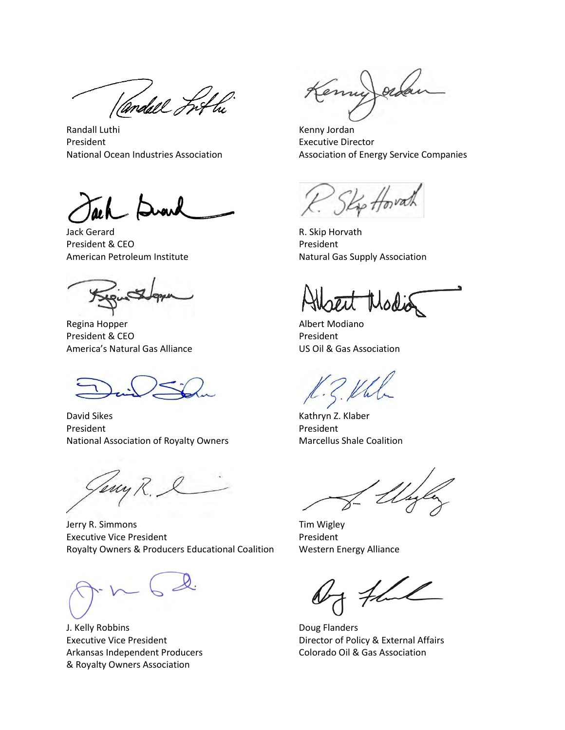Vandall Fifty

Randall Luthi **Kenny Jordan** President **Executive Director** 

Jack Gerard **R. Skip Horvath** President & CEO President

Regina Hopper **Albert Modiano** President & CEO President America's Natural Gas Alliance US Oil & Gas Association

David Sikes **Kathryn Z. Klaber** Kathryn Z. Klaber President President President National Association of Royalty Owners Marcellus Shale Coalition

Jerry R. Simmons Tim Wigley Executive Vice President **President** President Royalty Owners & Producers Educational Coalition Western Energy Alliance

J. Kelly Robbins **Doug Flanders** Arkansas Independent Producers Colorado Oil & Gas Association & Royalty Owners Association

Emin

National Ocean Industries Association Association of Energy Service Companies

American Petroleum Institute **Natural Gas Supply Association** 

Executive Vice President **Director of Policy & External Affairs**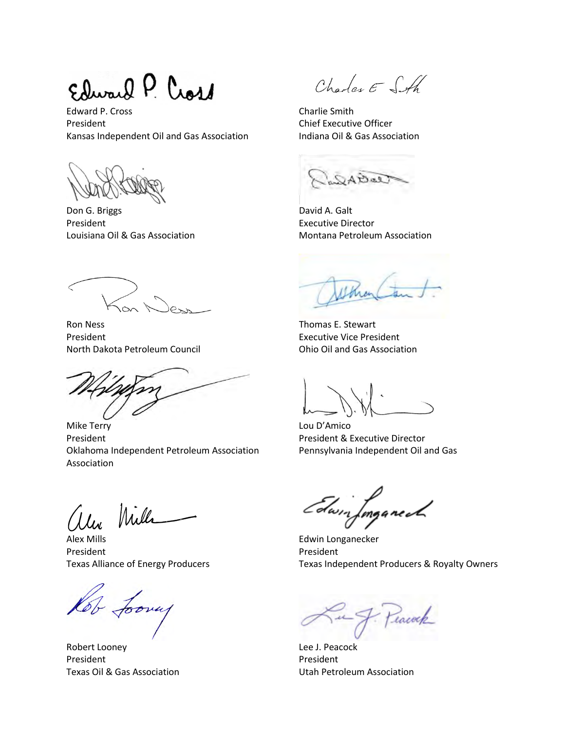Swarf P. Cross

Edward P. Cross Charlie Smith President **Chief Executive Officer** Chief Executive Officer Kansas Independent Oil and Gas Association Indiana Oil & Gas Association

Don G. Briggs **David A. Galt** President **Executive Director** 

Ron Ness Thomas E. Stewart President **Executive Vice President** North Dakota Petroleum Council **Casa Association** Ohio Oil and Gas Association

Mike Terry **Lou D'Amico** President **President Acceptance President & Executive Director** Oklahoma Independent Petroleum Association Pennsylvania Independent Oil and Gas Association

alex Mills

Alex Mills Edwin Longanecker President President President

Jooney

Robert Looney **Lee J. Peacock** President President President

Charles E SA

Bal

Louisiana Oil & Gas Association **Montana Petroleum Association** 

Edwin Imganech

Texas Alliance of Energy Producers Texas Independent Producers & Royalty Owners

tacock

Texas Oil & Gas Association Utah Petroleum Association